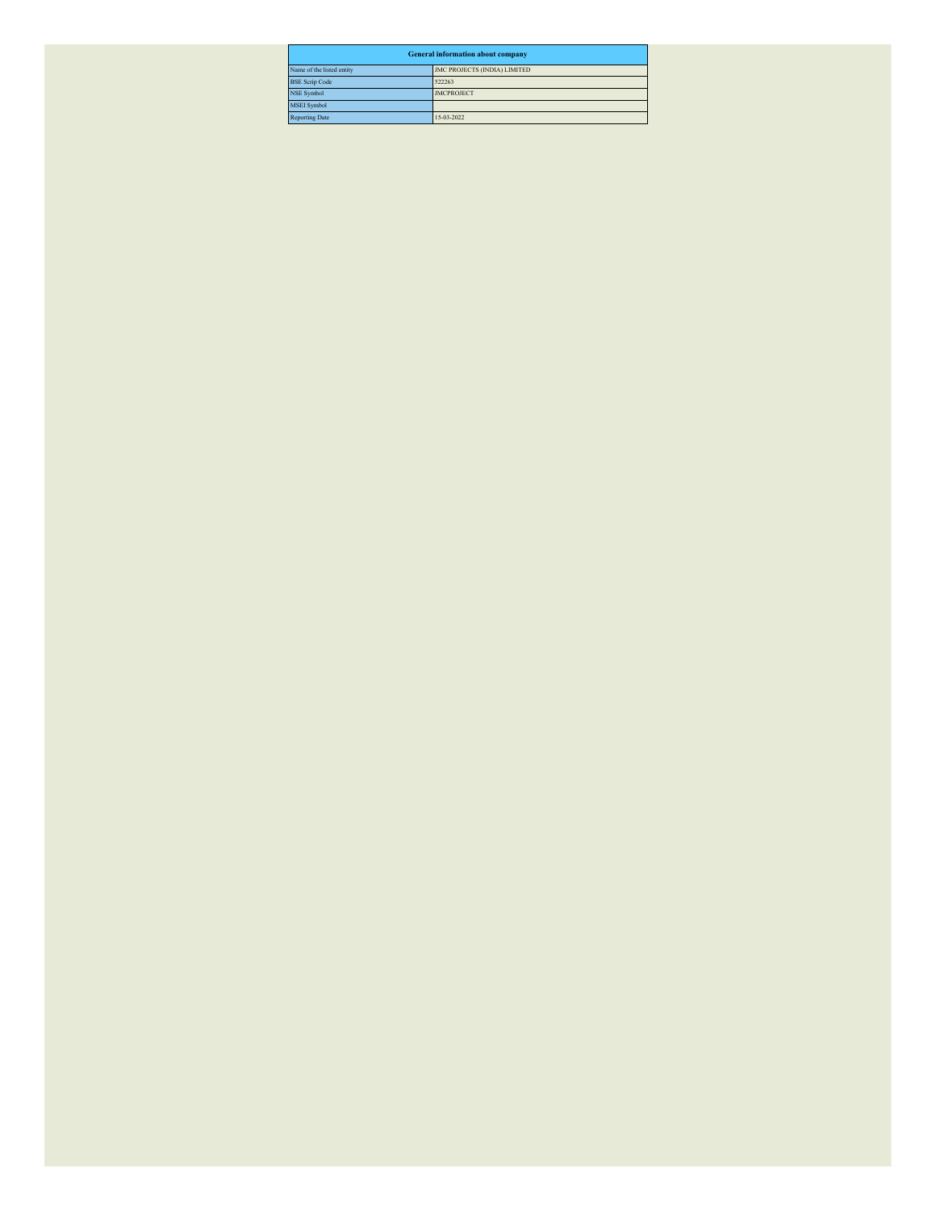| <b>General information about company</b>                  |                   |  |  |  |  |  |  |  |
|-----------------------------------------------------------|-------------------|--|--|--|--|--|--|--|
| Name of the listed entity<br>JMC PROJECTS (INDIA) LIMITED |                   |  |  |  |  |  |  |  |
| <b>BSE Scrip Code</b>                                     | 522263            |  |  |  |  |  |  |  |
| <b>NSE Symbol</b>                                         | <b>JMCPROJECT</b> |  |  |  |  |  |  |  |
| <b>MSEI</b> Symbol                                        |                   |  |  |  |  |  |  |  |
| <b>Reporting Date</b>                                     | 15-03-2022        |  |  |  |  |  |  |  |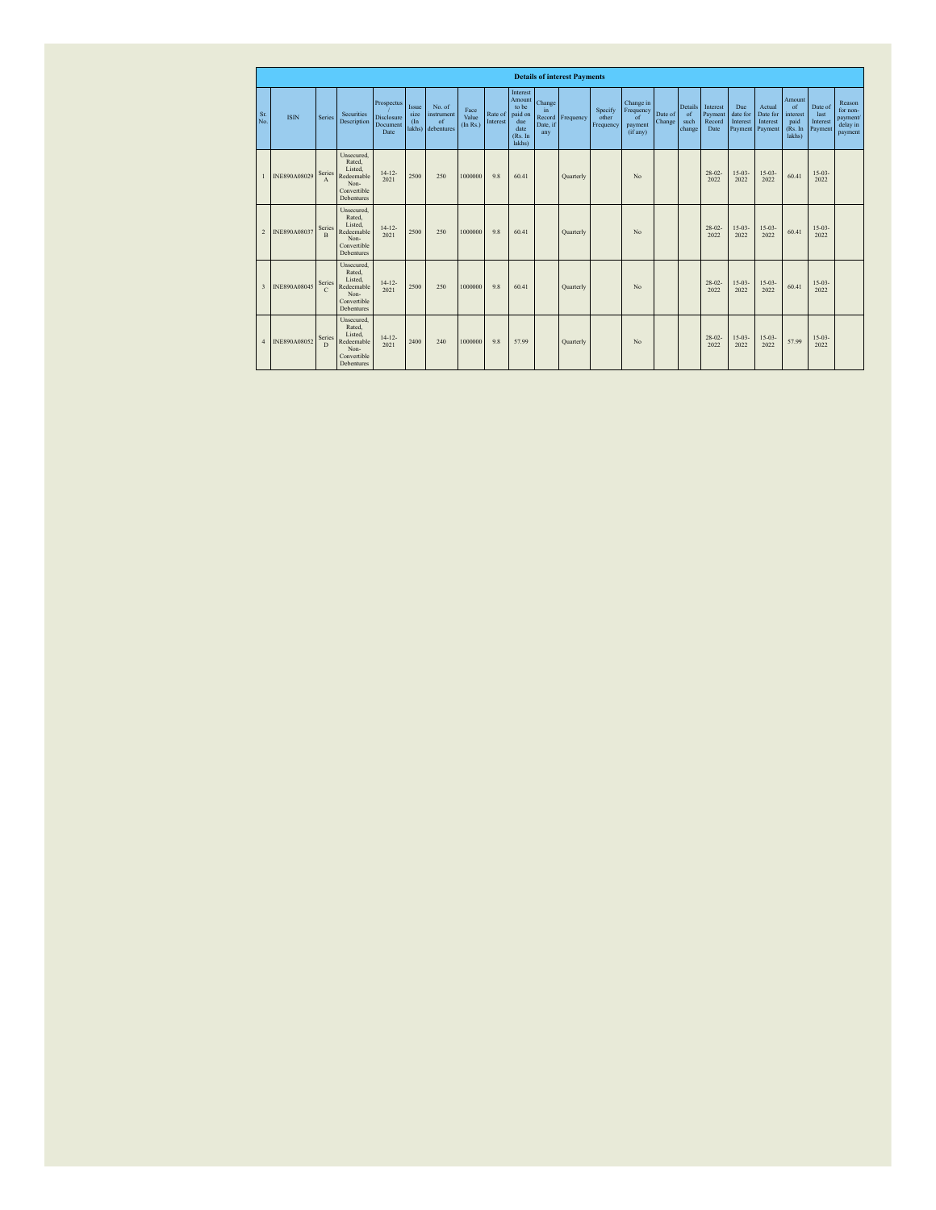|                | <b>Details of interest Payments</b> |                         |                                                                                    |                                              |                                |                                          |                           |                     |                                                                            |                                           |           |                               |                                                     |                   |                                        |                                       |                                        |                                           |                                                       |                                        |                                                       |
|----------------|-------------------------------------|-------------------------|------------------------------------------------------------------------------------|----------------------------------------------|--------------------------------|------------------------------------------|---------------------------|---------------------|----------------------------------------------------------------------------|-------------------------------------------|-----------|-------------------------------|-----------------------------------------------------|-------------------|----------------------------------------|---------------------------------------|----------------------------------------|-------------------------------------------|-------------------------------------------------------|----------------------------------------|-------------------------------------------------------|
| Sr.<br>No.     | <b>ISIN</b>                         | Series                  | Securities<br>Description                                                          | Prospectus<br>Disclosure<br>Document<br>Date | Issue<br>size<br>(In<br>lakhs) | No. of<br>instrument<br>of<br>debentures | Face<br>Value<br>(In Rs.) | Rate of<br>Interest | Interest<br>Amount<br>to be<br>paid on<br>due<br>date<br>(Rs. In<br>lakhs) | Change<br>in<br>Record<br>Date, if<br>any | Frequency | Specify<br>other<br>Frequency | Change in<br>Frequency<br>of<br>payment<br>(if any) | Date of<br>Change | Details<br>$\circ$ f<br>such<br>change | Interest<br>Payment<br>Record<br>Date | Due<br>date for<br>Interest<br>Payment | Actual<br>Date for<br>Interest<br>Payment | Amount<br>of<br>interest<br>paid<br>(Rs. In<br>lakhs) | Date of<br>last<br>Interest<br>Payment | Reason<br>for non-<br>payment/<br>delay in<br>payment |
| $\mathbf{1}$   | INE890A08029                        | Series<br>$\mathbf{A}$  | Unsecured,<br>Rated.<br>Listed.<br>Redeemable<br>Non-<br>Convertible<br>Debentures | $14 - 12 -$<br>2021                          | 2500                           | 250                                      | 1000000                   | 9.8                 | 60.41                                                                      |                                           | Quarterly |                               | $N_0$                                               |                   |                                        | $28 - 02$<br>2022                     | $15 - 03 -$<br>2022                    | $15 - 03 -$<br>2022                       | 60.41                                                 | $15 - 03 -$<br>2022                    |                                                       |
| $\overline{c}$ | INE890A08037                        | Series<br>$\mathbf{R}$  | Unsecured,<br>Rated.<br>Listed.<br>Redeemable<br>Non-<br>Convertible<br>Debentures | $14 - 12 -$<br>2021                          | 2500                           | 250                                      | 1000000                   | 9.8                 | 60.41                                                                      |                                           | Quarterly |                               | No                                                  |                   |                                        | $28 - 02$<br>2022                     | $15 - 03 -$<br>2022                    | $15 - 03 -$<br>2022                       | 60.41                                                 | $15 - 03 -$<br>2022                    |                                                       |
| $\overline{3}$ | INE890A08045                        | Series<br>$\mathcal{C}$ | Unsecured.<br>Rated.<br>Listed.<br>Redeemable<br>Non-<br>Convertible<br>Debentures | $14 - 12 -$<br>2021                          | 2500                           | 250                                      | 1000000                   | 9.8                 | 60.41                                                                      |                                           | Quarterly |                               | No                                                  |                   |                                        | $28 - 02$<br>2022                     | $15 - 03 -$<br>2022                    | $15 - 03 -$<br>2022                       | 60.41                                                 | $15 - 03 -$<br>2022                    |                                                       |
| $\overline{4}$ | INE890A08052                        | Series<br>$\mathbf{D}$  | Unsecured,<br>Rated.<br>Listed.<br>Redeemable<br>Non-<br>Convertible<br>Debentures | $14 - 12 -$<br>2021                          | 2400                           | 240                                      | 1000000                   | 9.8                 | 57.99                                                                      |                                           | Quarterly |                               | No                                                  |                   |                                        | $28 - 02 -$<br>2022                   | $15 - 03 -$<br>2022                    | $15 - 03 -$<br>2022                       | 57.99                                                 | $15 - 03 -$<br>2022                    |                                                       |